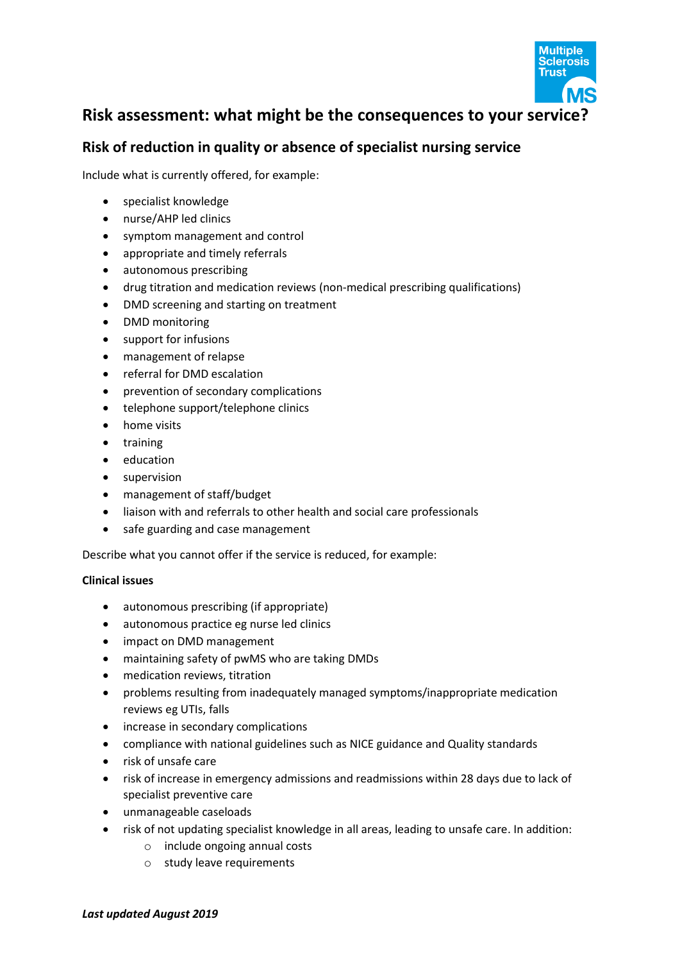

# **Risk assessment: what might be the consequences to your service?**

## **Risk of reduction in quality or absence of specialist nursing service**

Include what is currently offered, for example:

- specialist knowledge
- nurse/AHP led clinics
- symptom management and control
- appropriate and timely referrals
- autonomous prescribing
- drug titration and medication reviews (non-medical prescribing qualifications)
- DMD screening and starting on treatment
- DMD monitoring
- support for infusions
- management of relapse
- referral for DMD escalation
- prevention of secondary complications
- telephone support/telephone clinics
- home visits
- training
- education
- **•** supervision
- management of staff/budget
- liaison with and referrals to other health and social care professionals
- safe guarding and case management

Describe what you cannot offer if the service is reduced, for example:

#### **Clinical issues**

- autonomous prescribing (if appropriate)
- autonomous practice eg nurse led clinics
- impact on DMD management
- maintaining safety of pwMS who are taking DMDs
- medication reviews, titration
- problems resulting from inadequately managed symptoms/inappropriate medication reviews eg UTIs, falls
- increase in secondary complications
- compliance with national guidelines such as NICE guidance and Quality standards
- risk of unsafe care
- risk of increase in emergency admissions and readmissions within 28 days due to lack of specialist preventive care
- unmanageable caseloads
- risk of not updating specialist knowledge in all areas, leading to unsafe care. In addition:
	- o include ongoing annual costs
	- o study leave requirements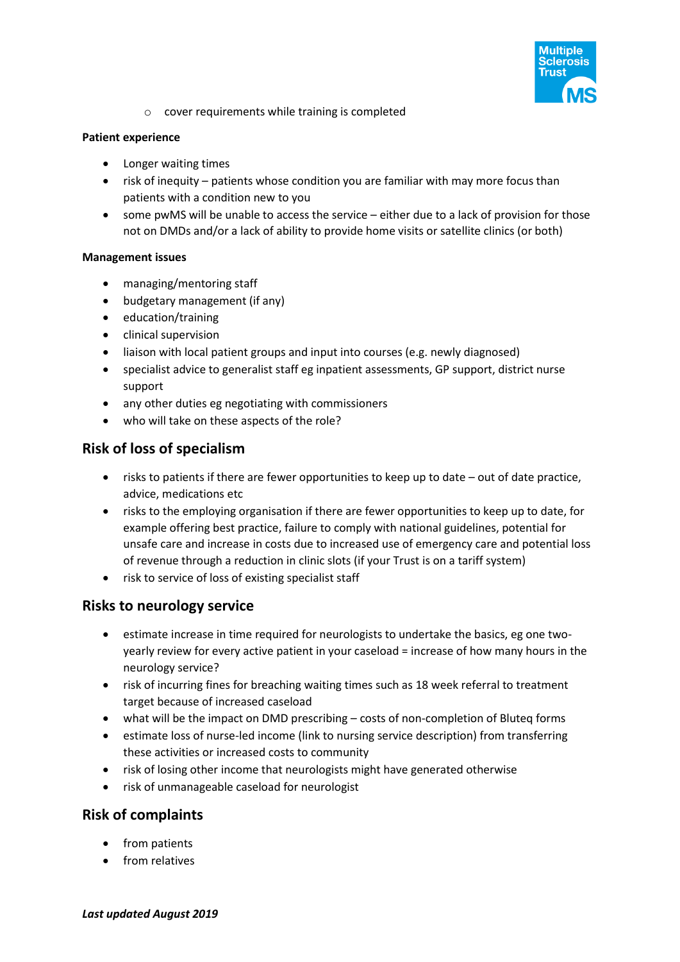

o cover requirements while training is completed

#### **Patient experience**

- Longer waiting times
- risk of inequity patients whose condition you are familiar with may more focus than patients with a condition new to you
- some pwMS will be unable to access the service either due to a lack of provision for those not on DMDs and/or a lack of ability to provide home visits or satellite clinics (or both)

#### **Management issues**

- managing/mentoring staff
- budgetary management (if any)
- education/training
- **•** clinical supervision
- liaison with local patient groups and input into courses (e.g. newly diagnosed)
- specialist advice to generalist staff eg inpatient assessments, GP support, district nurse support
- any other duties eg negotiating with commissioners
- who will take on these aspects of the role?

### **Risk of loss of specialism**

- risks to patients if there are fewer opportunities to keep up to date out of date practice, advice, medications etc
- risks to the employing organisation if there are fewer opportunities to keep up to date, for example offering best practice, failure to comply with national guidelines, potential for unsafe care and increase in costs due to increased use of emergency care and potential loss of revenue through a reduction in clinic slots (if your Trust is on a tariff system)
- risk to service of loss of existing specialist staff

### **Risks to neurology service**

- estimate increase in time required for neurologists to undertake the basics, eg one twoyearly review for every active patient in your caseload = increase of how many hours in the neurology service?
- risk of incurring fines for breaching waiting times such as 18 week referral to treatment target because of increased caseload
- what will be the impact on DMD prescribing costs of non-completion of Bluteq forms
- estimate loss of nurse-led income (link to nursing service description) from transferring these activities or increased costs to community
- risk of losing other income that neurologists might have generated otherwise
- risk of unmanageable caseload for neurologist

### **Risk of complaints**

- from patients
- from relatives